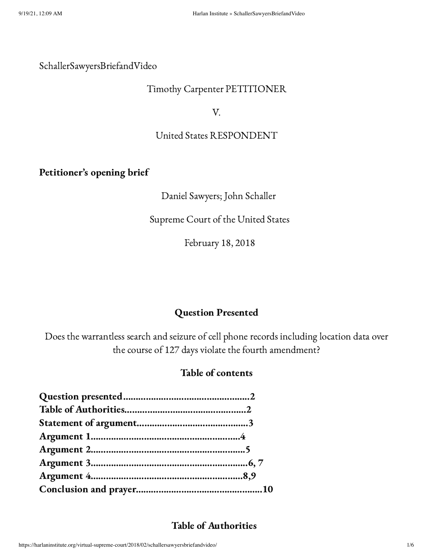#### SchallerSawyersBriefandVideo

#### Timothy Carpenter PETITIONER

V.

#### United States RESPONDENT

## Petitioner's opening brief

### Daniel Sawyers; John Schaller

## Supreme Court of the United States

February 18, 2018

# Question Presented

Does the warrantless search and seizure of cell phone records including location data over the course of 127 days violate the fourth amendment?

# Table of contents

# Table of Authorities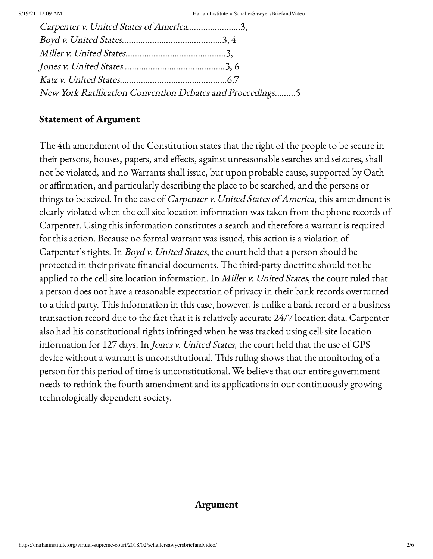| Carpenter v. United States of America3,                   |  |
|-----------------------------------------------------------|--|
|                                                           |  |
|                                                           |  |
|                                                           |  |
|                                                           |  |
| New York Ratification Convention Debates and Proceedings5 |  |

#### Statement of Argument

The 4th amendment of the Constitution states that the right of the people to be secure in their persons, houses, papers, and effects, against unreasonable searches and seizures, shall not be violated, and no Warrants shall issue, but upon probable cause, supported by Oath or affirmation, and particularly describing the place to be searched, and the persons or things to be seized. In the case of Carpenter v. United States of America, this amendment is clearly violated when the cell site location information was taken from the phone records of Carpenter. Using this information constitutes a search and therefore a warrant is required for this action. Because no formal warrant was issued, this action is a violation of Carpenter's rights. In Boyd v. United States, the court held that a person should be protected in their private financial documents. The third-party doctrine should not be applied to the cell-site location information. In Miller v. United States, the court ruled that a person does not have a reasonable expectation of privacy in their bank records overturned to a third party. This information in this case, however, is unlike a bank record or a business transaction record due to the fact that it is relatively accurate 24/7 location data. Carpenter also had his constitutional rights infringed when he was tracked using cell-site location information for 127 days. In Jones v. United States, the court held that the use of GPS device without a warrant is unconstitutional. This ruling shows that the monitoring of a person for this period of time is unconstitutional. We believe that our entire government needs to rethink the fourth amendment and its applications in our continuously growing technologically dependent society.

#### Argument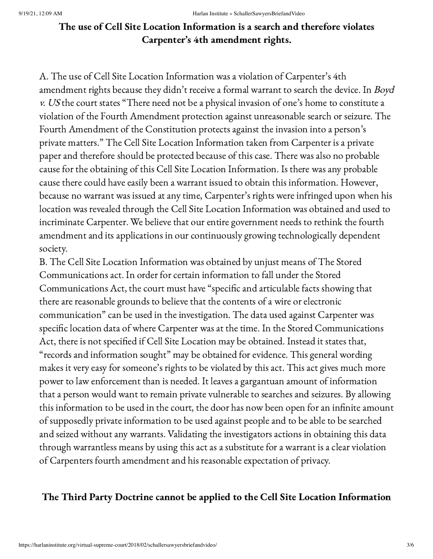# The use of Cell Site Location Information is a search and therefore violates Carpenter's 4th amendment rights.

A. The use of Cell Site Location Information was a violation of Carpenter's 4th amendment rights because they didn't receive a formal warrant to search the device. In Boyd v. US the court states "There need not be a physical invasion of one's home to constitute a violation of the Fourth Amendment protection against unreasonable search or seizure. The Fourth Amendment of the Constitution protects against the invasion into a person's private matters." The Cell Site Location Information taken from Carpenter is a private paper and therefore should be protected because of this case. There was also no probable cause for the obtaining of this Cell Site Location Information. Is there was any probable cause there could have easily been a warrant issued to obtain this information. However, because no warrant was issued at any time, Carpenter's rights were infringed upon when his location was revealed through the Cell Site Location Information was obtained and used to incriminate Carpenter. We believe that our entire government needs to rethink the fourth amendment and its applications in our continuously growing technologically dependent society.

B. The Cell Site Location Information was obtained by unjust means of The Stored Communications act. In order for certain information to fall under the Stored Communications Act, the court must have "specific and articulable facts showing that there are reasonable grounds to believe that the contents of a wire or electronic communication" can be used in the investigation. The data used against Carpenter was specific location data of where Carpenter was at the time. In the Stored Communications Act, there is not specified if Cell Site Location may be obtained. Instead it states that, "records and information sought" may be obtained for evidence. This general wording makes it very easy for someone's rights to be violated by this act. This act gives much more power to law enforcement than is needed. It leaves a gargantuan amount of information that a person would want to remain private vulnerable to searches and seizures. By allowing this information to be used in the court, the door has now been open for an infinite amount of supposedly private information to be used against people and to be able to be searched and seized without any warrants. Validating the investigators actions in obtaining this data through warrantless means by using this act as a substitute for a warrant is a clear violation of Carpenters fourth amendment and his reasonable expectation of privacy.

# The Third Party Doctrine cannot be applied to the Cell Site Location Information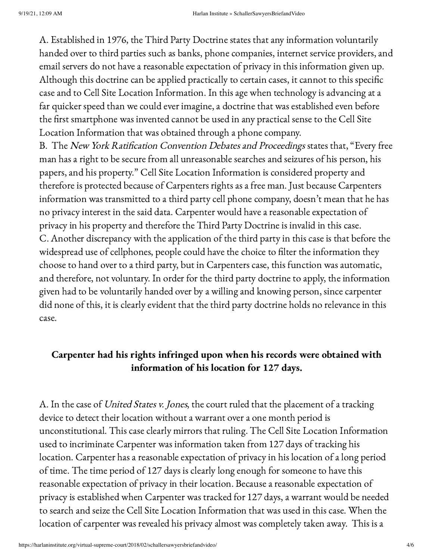A. Established in 1976, the Third Party Doctrine states that any information voluntarily handed over to third parties such as banks, phone companies, internet service providers, and email servers do not have a reasonable expectation of privacy in this information given up. Although this doctrine can be applied practically to certain cases, it cannot to this specific case and to Cell Site Location Information. In this age when technology is advancing at a far quicker speed than we could ever imagine, a doctrine that was established even before the first smartphone was invented cannot be used in any practical sense to the Cell Site Location Information that was obtained through a phone company.

B. The New York Ratification Convention Debates and Proceedings states that, "Every free man has a right to be secure from all unreasonable searches and seizures of his person, his papers, and his property." Cell Site Location Information is considered property and therefore is protected because of Carpenters rights as a free man. Just because Carpenters information was transmitted to a third party cell phone company, doesn't mean that he has no privacy interest in the said data. Carpenter would have a reasonable expectation of privacy in his property and therefore the Third Party Doctrine is invalid in this case. C. Another discrepancy with the application of the third party in this case is that before the widespread use of cellphones, people could have the choice to filter the information they choose to hand over to a third party, but in Carpenters case, this function was automatic, and therefore, not voluntary. In order for the third party doctrine to apply, the information given had to be voluntarily handed over by a willing and knowing person, since carpenter did none of this, it is clearly evident that the third party doctrine holds no relevance in this case.

# Carpenter had his rights infringed upon when his records were obtained with information of his location for 127 days.

A. In the case of United States v. Jones, the court ruled that the placement of a tracking device to detect their location without a warrant over a one month period is unconstitutional. This case clearly mirrors that ruling. The Cell Site Location Information used to incriminate Carpenter was information taken from 127 days of tracking his location. Carpenter has a reasonable expectation of privacy in his location of a long period of time. The time period of 127 days is clearly long enough for someone to have this reasonable expectation of privacy in their location. Because a reasonable expectation of privacy is established when Carpenter was tracked for 127 days, a warrant would be needed to search and seize the Cell Site Location Information that was used in this case. When the location of carpenter was revealed his privacy almost was completely taken away. This is a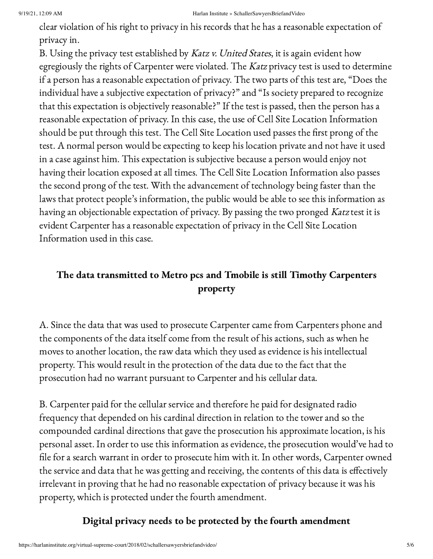#### 9/19/21, 12:09 AM Harlan Institute » SchallerSawyersBriefandVideo

clear violation of his right to privacy in his records that he has a reasonable expectation of privacy in.

B. Using the privacy test established by Katz v. United States, it is again evident how egregiously the rights of Carpenter were violated. The Katz privacy test is used to determine if a person has a reasonable expectation of privacy. The two parts of this test are, "Does the individual have a subjective expectation of privacy?" and "Is society prepared to recognize that this expectation is objectively reasonable?" If the test is passed, then the person has a reasonable expectation of privacy. In this case, the use of Cell Site Location Information should be put through this test. The Cell Site Location used passes the first prong of the test. A normal person would be expecting to keep his location private and not have it used in a case against him. This expectation is subjective because a person would enjoy not having their location exposed at all times. The Cell Site Location Information also passes the second prong of the test. With the advancement of technology being faster than the laws that protect people's information, the public would be able to see this information as having an objectionable expectation of privacy. By passing the two pronged Katz test it is evident Carpenter has a reasonable expectation of privacy in the Cell Site Location Information used in this case.

# The data transmitted to Metro pcs and Tmobile is still Timothy Carpenters property

A. Since the data that was used to prosecute Carpenter came from Carpenters phone and the components of the data itself come from the result of his actions, such as when he moves to another location, the raw data which they used as evidence is his intellectual property. This would result in the protection of the data due to the fact that the prosecution had no warrant pursuant to Carpenter and his cellular data.

B. Carpenter paid for the cellular service and therefore he paid for designated radio frequency that depended on his cardinal direction in relation to the tower and so the compounded cardinal directions that gave the prosecution his approximate location, is his personal asset. In order to use this information as evidence, the prosecution would've had to file for a search warrant in order to prosecute him with it. In other words, Carpenter owned the service and data that he was getting and receiving, the contents of this data is effectively irrelevant in proving that he had no reasonable expectation of privacy because it was his property, which is protected under the fourth amendment.

# Digital privacy needs to be protected by the fourth amendment